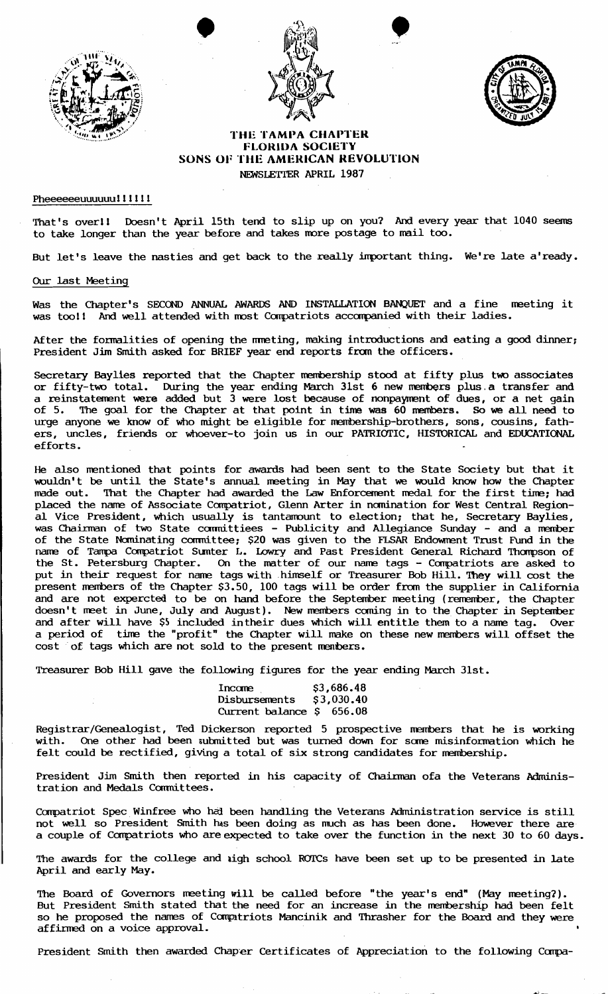





## THE TAMPA CHAPTER FLOR1UA SOCIETY SONS OF THE AMERICAN REVOLUTION NEWSLETTER APRIL 1987

## Pheeeeeeuuuuuull!!!!!

That's overll Doesn't April 15th tend to slip up on you? And every year that 1040 seems to take longer than the year before and takes more postage to mail too.

But let's leave the nasties and get back to the really important thing. We're late a'ready.

## Our last Meeting

Was the Chapter's SECOND ANNUAL AWARDS AND INSTALLATION BANQUET and a fine meeting it was tool! And well attended with most Compatriots accompanied with their ladies.

After the formalities of opening the mmeting, making introductions and eating a good dinner; President Jim Smith asked for BRIEF year end reports fran the officers.

Secretary Bayltes reported that the Chapter membership stood at fifty plus two associates or fifty-two total. During the year ending March 31st 6 new members plus.a transfer and a reinstatement were added but  $\overline{3}$  were lost because of nonpayment of dues, or a net gain of 5. The goal for the Chapter at that point in time was 60 nembers. So we all need to urge anyone we know of who might be eligible for membership-brothers, sons, cousins, fathers, uncles, friends or whoever-to join us in our PATRIOTIC, HISTORICAL and EDUCATIONAL efforts.

He also mantioned that points for awards had been sent to the State Society but that it wouldn't be until the State's annual meeting in May that we would know how the Chapter made out. That the Chapter had awarded the Law Enforcement medal for the first time; had placed the name of Associate Compatriot, Glenn Arter in nomination for West Central Regional Vice President, which usually is tantamount to election; that he, Secretary Baylies, was Chairman of two State committiees - Publicity and Allegiance Sunday - and a member of the State Nominating committee; \$20 was given to the FLSAR Endowment Trust Fund in the name of Tampa Compatriot Sumter L. Lowry and Past President General Richard Thompson of the St. Petersburg Chapter. On the matter of our name tags - Compatriots are asked to put in their request for name tags with himself or Treasurer Bob Hill. They will cost the present members of the Chapter \$3.50, 100 tags will be order fran the supplier in California and are not expercted to be on hand before the September meeting (remember, the Chapter doesn't maet in June, July and August). New members caning in to the Chapter in September and after will have \$5 included in their dues which will entitle them to a name tag. Over a period of time the "profit" the Chapter will make on these new members will offset the cost of tags which are not sold to the present members.

Treasurer Bob Hill gave the following figures for the year ending March 31st.

| Income                   | \$3,686.48 |
|--------------------------|------------|
| Disbursements            | \$3,030,40 |
| Current balance S 656.08 |            |

Registrar/Genealogist , Ted Dickerson reported 5 prospective members that he is working with. One other had been submitted but was turned down for some misinformation which he felt could be rectified, giving a total of six strong candidates for membership.

President Jim Smith then reported in his capacity of Chairman ofa the Veterans Administration and Medals Committees.

Compatriot Spec Winfree who had been handling the Veterans Administration service is still not well so President Smith tus been doing as much as has been done. However there are a couple of Compatriots who are expected to take over the function in the next 30 to 60 days.

The awards for the college and ligh school ROI'Cs have been set up to be presented in late April and early May.

The Board of Governors meeting will be called before "the year's end" (May meeting?). But President Smith stated that the need for an increase in the membership had been felt so he proposed the names of Compatriots Mancinik and Thrasher for the Board and they were affinred on a voice approval.

President Smith then awarded Chaper Certificates of Appreciation to the following Compa-